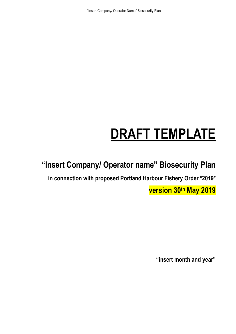"Insert Company/ Operator Name" Biosecurity Plan

# **DRAFT TEMPLATE**

**"Insert Company/ Operator name" Biosecurity Plan**

**in connection with proposed Portland Harbour Fishery Order \*2019\***

**version 30th May 2019**

**"insert month and year"**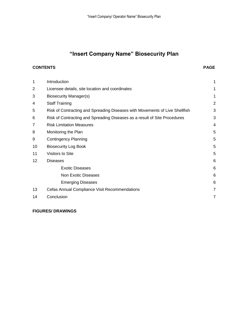# **"Insert Company Name" Biosecurity Plan**

#### **CONTENTS PAGE**

| 1               | Introduction                                                                | 1              |
|-----------------|-----------------------------------------------------------------------------|----------------|
| $\overline{2}$  | Licensee details, site location and coordinates                             | 1              |
| 3               | Biosecurity Manager(s)                                                      | 1              |
| 4               | <b>Staff Training</b>                                                       | $\overline{2}$ |
| 5               | Risk of Contracting and Spreading Diseases with Movements of Live Shellfish | 3              |
| 6               | Risk of Contracting and Spreading Diseases as a result of Site Procedures   | 3              |
| $\overline{7}$  | <b>Risk Limitation Measures</b>                                             | 4              |
| 8               | Monitoring the Plan                                                         | 5              |
| 9               | <b>Contingency Planning</b>                                                 | 5              |
| 10              | <b>Biosecurity Log Book</b>                                                 | 5              |
| 11              | <b>Visitors to Site</b>                                                     | 5              |
| 12 <sub>2</sub> | <b>Diseases</b>                                                             | 6              |
|                 | <b>Exotic Diseases</b>                                                      | 6              |
|                 | <b>Non Exotic Diseases</b>                                                  | 6              |
|                 | <b>Emerging Diseases</b>                                                    | 6              |
| 13              | Cefas Annual Compliance Visit Recommendations                               | 7              |
| 14              | Conclusion                                                                  | 7              |
|                 |                                                                             |                |

### **FIGURES/ DRAWINGS**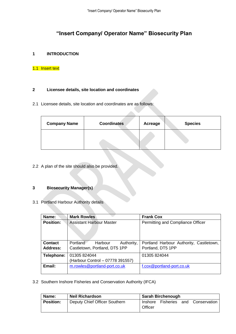## **"Insert Company/ Operator Name" Biosecurity Plan**

#### **1 INTRODUCTION**

#### 1.1 Insert text

#### **2 Licensee details, site location and coordinates**

2.1 Licensee details, site location and coordinates are as follows:

| <b>Company Name</b> | <b>Coordinates</b> | Acreage | <b>Species</b> |
|---------------------|--------------------|---------|----------------|
|                     |                    |         |                |

2.2 A plan of the site should also be provided.

#### **3 Biosecurity Manager(s)**

3.1 Portland Harbour Authority details

| Name:                      | <b>Mark Rowles</b>                                                 | <b>Frank Cox</b>                                             |
|----------------------------|--------------------------------------------------------------------|--------------------------------------------------------------|
| <b>Position:</b>           | <b>Assistant Harbour Master</b>                                    | Permitting and Compliance Officer                            |
| <b>Contact</b><br>Address: | Portland<br>Harbour<br>Authority,<br>Castletown, Portland, DT5 1PP | Portland Harbour Authority, Castletown,<br>Portland, DT5 1PP |
| Telephone:                 | 01305 824044<br>(Harbour Control - 07778 391557)                   | 01305 824044                                                 |
| Email:                     | m.rowles@portland-port.co.uk                                       | f.cox@portland-port.co.uk                                    |

3.2 Southern Inshore Fisheries and Conservation Authority (IFCA)

| Name:            | <b>Neil Richardson</b>        | <b>Sarah Birchenough</b> |                   |  |                  |
|------------------|-------------------------------|--------------------------|-------------------|--|------------------|
| <b>Position:</b> | Deputy Chief Officer Southern | Officer                  | Inshore Fisheries |  | and Conservation |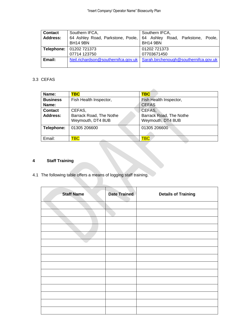| <b>Contact</b>  | Southern IFCA,                                       | Southern IFCA,                                       |  |  |
|-----------------|------------------------------------------------------|------------------------------------------------------|--|--|
| <b>Address:</b> | 64 Ashley Road, Parkstone, Poole,<br><b>BH14 9BN</b> | 64 Ashley Road, Parkstone, Poole,<br><b>BH14 9BN</b> |  |  |
| Telephone:      | 01202 721373                                         | 01202 721373                                         |  |  |
|                 | 07714 123750                                         | 07703671450                                          |  |  |
| Email:          | Neil.richardson@southernifca.gov.uk                  | Sarah.birchenough@southernifca.gov.uk                |  |  |

#### 3.3 CEFAS

| Name:           | <b>TBC</b>              | <b>TBC</b>              |
|-----------------|-------------------------|-------------------------|
| <b>Business</b> | Fish Health Inspector,  | Fish Health Inspector,  |
| Name:           |                         | <b>CEFAS</b>            |
| <b>Contact</b>  | CEFAS,                  | CEFAS,                  |
| Address:        | Barrack Road, The Nothe | Barrack Road, The Nothe |
|                 | Weymouth, DT4 8UB       | Weymouth, DT4 8UB       |
| Telephone:      | 01305 206600            | 01305 206600            |
|                 |                         |                         |
| Email:          | <b>TBC</b>              | <b>TBC</b>              |
|                 |                         |                         |

### **4 Staff Training**

4.1 The following table offers a means of logging staff training.

| <b>Staff Name</b> | <b>Date Trained</b> | <b>Details of Training</b> |
|-------------------|---------------------|----------------------------|
|                   |                     |                            |
|                   |                     |                            |
|                   |                     |                            |
|                   |                     |                            |
|                   |                     |                            |
|                   |                     |                            |
|                   |                     |                            |
|                   |                     |                            |
|                   |                     |                            |
|                   |                     |                            |
|                   |                     |                            |
|                   |                     |                            |
|                   |                     |                            |
|                   |                     |                            |
|                   |                     |                            |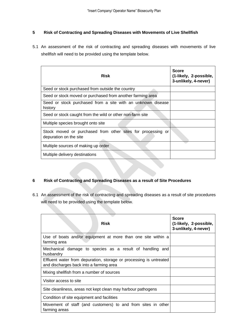#### **5 Risk of Contracting and Spreading Diseases with Movements of Live Shellfish**

5.1 An assessment of the risk of contracting and spreading diseases with movements of live shellfish will need to be provided using the template below.

| <b>Risk</b>                                                                           | <b>Score</b><br>(1-likely, 2-possible,<br>3-unlikely, 4-never) |
|---------------------------------------------------------------------------------------|----------------------------------------------------------------|
| Seed or stock purchased from outside the country                                      |                                                                |
| Seed or stock moved or purchased from another farming area                            |                                                                |
| Seed or stock purchased from a site with an unknown disease<br>history                |                                                                |
| Seed or stock caught from the wild or other non-farm site                             |                                                                |
| Multiple species brought onto site                                                    |                                                                |
| Stock moved or purchased from other sites for processing or<br>depuration on the site |                                                                |
| Multiple sources of making up order                                                   |                                                                |
| Multiple delivery destinations                                                        |                                                                |

#### **6 Risk of Contracting and Spreading Diseases as a result of Site Procedures**

6.1 An assessment of the risk of contracting and spreading diseases as a result of site procedures will need to be provided using the template below.

| <b>Risk</b>                                                                                                   | <b>Score</b><br>(1-likely, 2-possible,<br>3-unlikely, 4-never) |
|---------------------------------------------------------------------------------------------------------------|----------------------------------------------------------------|
| Use of boats and/or equipment at more than one site within a<br>farming area                                  |                                                                |
| Mechanical damage to species as a result of handling and<br>husbandry                                         |                                                                |
| Effluent water from depuration, storage or processing is untreated<br>and discharges back into a farming area |                                                                |
| Mixing shellfish from a number of sources                                                                     |                                                                |
| Visitor access to site                                                                                        |                                                                |
| Site cleanliness, areas not kept clean may harbour pathogens                                                  |                                                                |
| Condition of site equipment and facilities                                                                    |                                                                |
| Movement of staff (and customers) to and from sites in other<br>farming areas                                 |                                                                |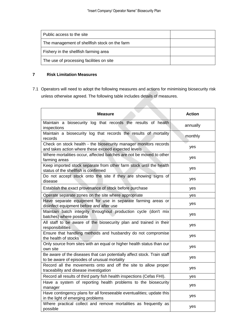| Public access to the site                     |  |
|-----------------------------------------------|--|
| The management of shellfish stock on the farm |  |
| Fishery in the shellfish farming area         |  |
| The use of processing facilities on site      |  |

#### **7 Risk Limitation Measures**

7.1 Operators will need to adopt the following measures and actions for minimising biosecurity risk unless otherwise agreed. The following table includes details of measures.

| <b>Measure</b>                                                                                                          | <b>Action</b> |
|-------------------------------------------------------------------------------------------------------------------------|---------------|
| Maintain a biosecurity log that records the results of health<br>inspections                                            | annually      |
| Maintain a biosecurity log that records the results of mortality<br>records                                             | monthly       |
| Check on stock health - the biosecurity manager monitors records<br>and takes action where these exceed expected levels | yes           |
| Where mortalities occur, affected batches are not be moved to other<br>farming areas                                    | yes           |
| Keep imported stock separate from other farm stock until the health<br>status of the shellfish is confirmed             | yes           |
| Do not accept stock onto the site if they are showing signs of<br>disease                                               | yes           |
| Establish the exact provenance of stock before purchase                                                                 | yes           |
| Operate separate zones on the site where appropriate                                                                    | yes           |
| Have separate equipment for use in separate farming areas or<br>disinfect equipment before and after use                | yes           |
| Maintain batch integrity throughout production cycle (don't mix<br>batches) where possible                              | yes           |
| All staff to be aware of the biosecurity plan and trained in their<br>responsibilities                                  | yes           |
| Ensure that handling methods and husbandry do not compromise<br>the health of stocks                                    | yes           |
| Only source from sites with an equal or higher health status than our<br>own site                                       | yes           |
| Be aware of the diseases that can potentially affect stock. Train staff<br>to be aware of episodes of unusual mortality | yes           |
| Record all the movements onto and off the site to allow proper<br>traceability and disease investigation                | yes           |
| Record all results of third party fish health inspections (Cefas FHI).                                                  | yes           |
| Have a system of reporting health problems to the biosecurity<br>manager                                                | yes           |
| Have contingency plans for all foreseeable eventualities; update this<br>in the light of emerging problems              | yes           |
| Where practical collect and remove mortalities as frequently as<br>possible                                             | yes           |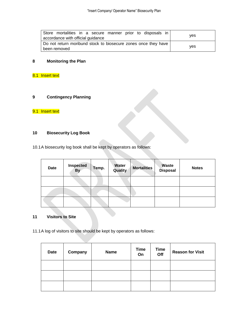| Store mortalities in a secure manner prior to disposals in     |     |
|----------------------------------------------------------------|-----|
| accordance with official guidance                              | ves |
| Do not return moribund stock to biosecure zones once they have |     |
| been removed                                                   | ves |

### **8 Monitoring the Plan**

### 8.1 Insert text

#### **9 Contingency Planning**

### 9.1 Insert text

#### **10 Biosecurity Log Book**

10.1A biosecurity log book shall be kept by operators as follows:

| <b>Date</b> | <b>Inspected</b><br><b>By</b> | Temp. | Water<br>Quality | <b>Mortalities</b> | <b>Waste</b><br><b>Disposal</b> | <b>Notes</b> |
|-------------|-------------------------------|-------|------------------|--------------------|---------------------------------|--------------|
|             |                               |       |                  |                    |                                 |              |
|             |                               |       |                  |                    |                                 |              |
|             |                               |       |                  |                    |                                 |              |

#### **11 Visitors to Site**

11.1A log of visitors to site should be kept by operators as follows:

| <b>Date</b> | Company | <b>Name</b> | <b>Time</b><br>On | <b>Time</b><br>Off | <b>Reason for Visit</b> |
|-------------|---------|-------------|-------------------|--------------------|-------------------------|
|             |         |             |                   |                    |                         |
|             |         |             |                   |                    |                         |
|             |         |             |                   |                    |                         |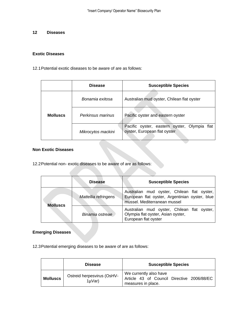#### **12 Diseases**

#### **Exotic Diseases**

12.1Potential exotic diseases to be aware of are as follows:

|                 | <b>Disease</b>     | <b>Susceptible Species</b>                                                   |
|-----------------|--------------------|------------------------------------------------------------------------------|
|                 | Bonamia exitosa    | Australian mud oyster, Chilean flat oyster                                   |
| <b>Molluscs</b> | Perkinsus marinus  | Pacific oyster and eastern oyster                                            |
|                 | Mikrocytos mackini | Pacific oyster, eastern oyster, Olympia flat<br>oyster, European flat oyster |

#### **Non Exotic Diseases**

12.2Potential non- exotic diseases to be aware of are as follows:

|                 | <b>Disease</b>       | <b>Susceptible Species</b>                                                                                                    |
|-----------------|----------------------|-------------------------------------------------------------------------------------------------------------------------------|
| <b>Molluscs</b> | Mattellia refringens | Australian mud oyster, Chilean flat oyster,<br>European flat oyster, Argentinian oyster, blue<br>mussel. Mediterranean mussel |
|                 | Binamia ostreae      | Australian mud oyster, Chilean flat oyster,<br>Olympia flat oyster, Asian oyster,<br>European flat oyster                     |

#### **Emerging Diseases**

12.3Potential emerging diseases to be aware of are as follows:

|                 | <b>Disease</b>                            | <b>Susceptible Species</b>                                                                 |
|-----------------|-------------------------------------------|--------------------------------------------------------------------------------------------|
| <b>Molluscs</b> | Ostreid herpesvirus (OsHV-<br>$1\mu$ Var) | We currently also have<br>Article 43 of Council Directive 2006/88/EC<br>measures in place. |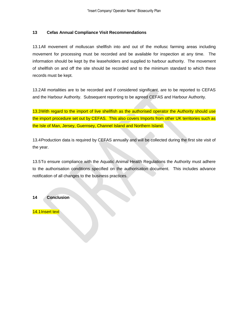#### **13 Cefas Annual Compliance Visit Recommendations**

13.1All movement of molluscan shellfish into and out of the mollusc farming areas including movement for processing must be recorded and be available for inspection at any time. The information should be kept by the leaseholders and supplied to harbour authority. The movement of shellfish on and off the site should be recorded and to the minimum standard to which these records must be kept.

13.2All mortalities are to be recorded and if considered significant, are to be reported to CEFAS and the Harbour Authority. Subsequent reporting to be agreed CEFAS and Harbour Authority.

13.3With regard to the import of live shellfish as the authorised operator the Authority should use the import procedure set out by CEFAS. This also covers Imports from other UK territories such as the Isle of Man, Jersey, Guernsey, Channel Island and Northern Island.

13.4Production data is required by CEFAS annually and will be collected during the first site visit of the year.

13.5To ensure compliance with the Aquatic Animal Health Regulations the Authority must adhere to the authorisation conditions specified on the authorisation document. This includes advance notification of all changes to the business practices.

#### **14 Conclusion**

14.1 Insert text